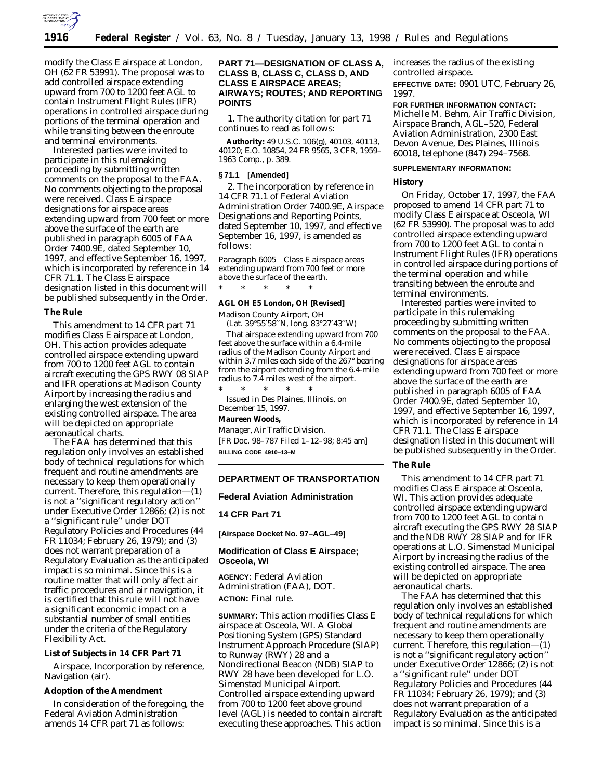

modify the Class E airspace at London, OH (62 FR 53991). The proposal was to add controlled airspace extending upward from 700 to 1200 feet AGL to contain Instrument Flight Rules (IFR) operations in controlled airspace during portions of the terminal operation and while transiting between the enroute and terminal environments.

Interested parties were invited to participate in this rulemaking proceeding by submitting written comments on the proposal to the FAA. No comments objecting to the proposal were received. Class E airspace designations for airspace areas extending upward from 700 feet or more above the surface of the earth are published in paragraph 6005 of FAA Order 7400.9E, dated September 10, 1997, and effective September 16, 1997, which is incorporated by reference in 14 CFR 71.1. The Class E airspace designation listed in this document will be published subsequently in the Order.

### **The Rule**

This amendment to 14 CFR part 71 modifies Class E airspace at London, OH. This action provides adequate controlled airspace extending upward from 700 to 1200 feet AGL to contain aircraft executing the GPS RWY 08 SIAP and IFR operations at Madison County Airport by increasing the radius and enlarging the west extension of the existing controlled airspace. The area will be depicted on appropriate aeronautical charts.

The FAA has determined that this regulation only involves an established body of technical regulations for which frequent and routine amendments are necessary to keep them operationally current. Therefore, this regulation—(1) is not a ''significant regulatory action'' under Executive Order 12866; (2) is not a ''significant rule'' under DOT Regulatory Policies and Procedures (44 FR 11034; February 26, 1979); and (3) does not warrant preparation of a Regulatory Evaluation as the anticipated impact is so minimal. Since this is a routine matter that will only affect air traffic procedures and air navigation, it is certified that this rule will not have a significant economic impact on a substantial number of small entities under the criteria of the Regulatory Flexibility Act.

### **List of Subjects in 14 CFR Part 71**

Airspace, Incorporation by reference, Navigation (air).

## **Adoption of the Amendment**

In consideration of the foregoing, the Federal Aviation Administration amends 14 CFR part 71 as follows:

## **PART 71—DESIGNATION OF CLASS A, CLASS B, CLASS C, CLASS D, AND CLASS E AIRSPACE AREAS; AIRWAYS; ROUTES; AND REPORTING POINTS**

1. The authority citation for part 71 continues to read as follows:

**Authority:** 49 U.S.C. 106(g), 40103, 40113, 40120; E.O. 10854, 24 FR 9565, 3 CFR, 1959– 1963 Comp., p. 389.

#### **§ 71.1 [Amended]**

2. The incorporation by reference in 14 CFR 71.1 of Federal Aviation Administration Order 7400.9E, Airspace Designations and Reporting Points, dated September 10, 1997, and effective September 16, 1997, is amended as follows:

*Paragraph 6005 Class E airspace areas extending upward from 700 feet or more above the surface of the earth.*

\* \* \* \* \*

## **AGL OH E5 London, OH [Revised]**

Madison County Airport, OH (Lat. 39°55′58′′N, long. 83°27′43′′W)

That airspace extending upward from 700 feet above the surface within a 6.4-mile radius of the Madison County Airport and within 3.7 miles each side of the  $267^{\circ}$  bearing from the airport extending from the 6.4-mile radius to 7.4 miles west of the airport.

\* \* \* \* \* Issued in Des Plaines, Illinois, on December 15, 1997.

#### **Maureen Woods,**

*Manager, Air Traffic Division.* [FR Doc. 98–787 Filed 1–12–98; 8:45 am] **BILLING CODE 4910–13–M**

### **DEPARTMENT OF TRANSPORTATION**

#### **Federal Aviation Administration**

**14 CFR Part 71**

**[Airspace Docket No. 97–AGL–49]**

### **Modification of Class E Airspace; Osceola, WI**

**AGENCY:** Federal Aviation Administration (FAA), DOT. **ACTION:** Final rule.

**SUMMARY:** This action modifies Class E airspace at Osceola, WI. A Global Positioning System (GPS) Standard Instrument Approach Procedure (SIAP) to Runway (RWY) 28 and a Nondirectional Beacon (NDB) SIAP to RWY 28 have been developed for L.O. Simenstad Municipal Airport. Controlled airspace extending upward from 700 to 1200 feet above ground level (AGL) is needed to contain aircraft executing these approaches. This action increases the radius of the existing controlled airspace. **EFFECTIVE DATE:** 0901 UTC, February 26, 1997.

**FOR FURTHER INFORMATION CONTACT:**

Michelle M. Behm, Air Traffic Division, Airspace Branch, AGL–520, Federal Aviation Administration, 2300 East Devon Avenue, Des Plaines, Illinois 60018, telephone (847) 294–7568.

### **SUPPLEMENTARY INFORMATION:**

### **History**

On Friday, October 17, 1997, the FAA proposed to amend 14 CFR part 71 to modify Class E airspace at Osceola, WI (62 FR 53990). The proposal was to add controlled airspace extending upward from 700 to 1200 feet AGL to contain Instrument Flight Rules (IFR) operations in controlled airspace during portions of the terminal operation and while transiting between the enroute and terminal environments.

Interested parties were invited to participate in this rulemaking proceeding by submitting written comments on the proposal to the FAA. No comments objecting to the proposal were received. Class E airspace designations for airspace areas extending upward from 700 feet or more above the surface of the earth are published in paragraph 6005 of FAA Order 7400.9E, dated September 10, 1997, and effective September 16, 1997, which is incorporated by reference in 14 CFR 71.1. The Class E airspace designation listed in this document will be published subsequently in the Order.

### **The Rule**

This amendment to 14 CFR part 71 modifies Class E airspace at Osceola, WI. This action provides adequate controlled airspace extending upward from 700 to 1200 feet AGL to contain aircraft executing the GPS RWY 28 SIAP and the NDB RWY 28 SIAP and for IFR operations at L.O. Simenstad Municipal Airport by increasing the radius of the existing controlled airspace. The area will be depicted on appropriate aeronautical charts.

The FAA has determined that this regulation only involves an established body of technical regulations for which frequent and routine amendments are necessary to keep them operationally current. Therefore, this regulation—(1) is not a ''significant regulatory action'' under Executive Order 12866; (2) is not a ''significant rule'' under DOT Regulatory Policies and Procedures (44 FR 11034; February 26, 1979); and (3) does not warrant preparation of a Regulatory Evaluation as the anticipated impact is so minimal. Since this is a